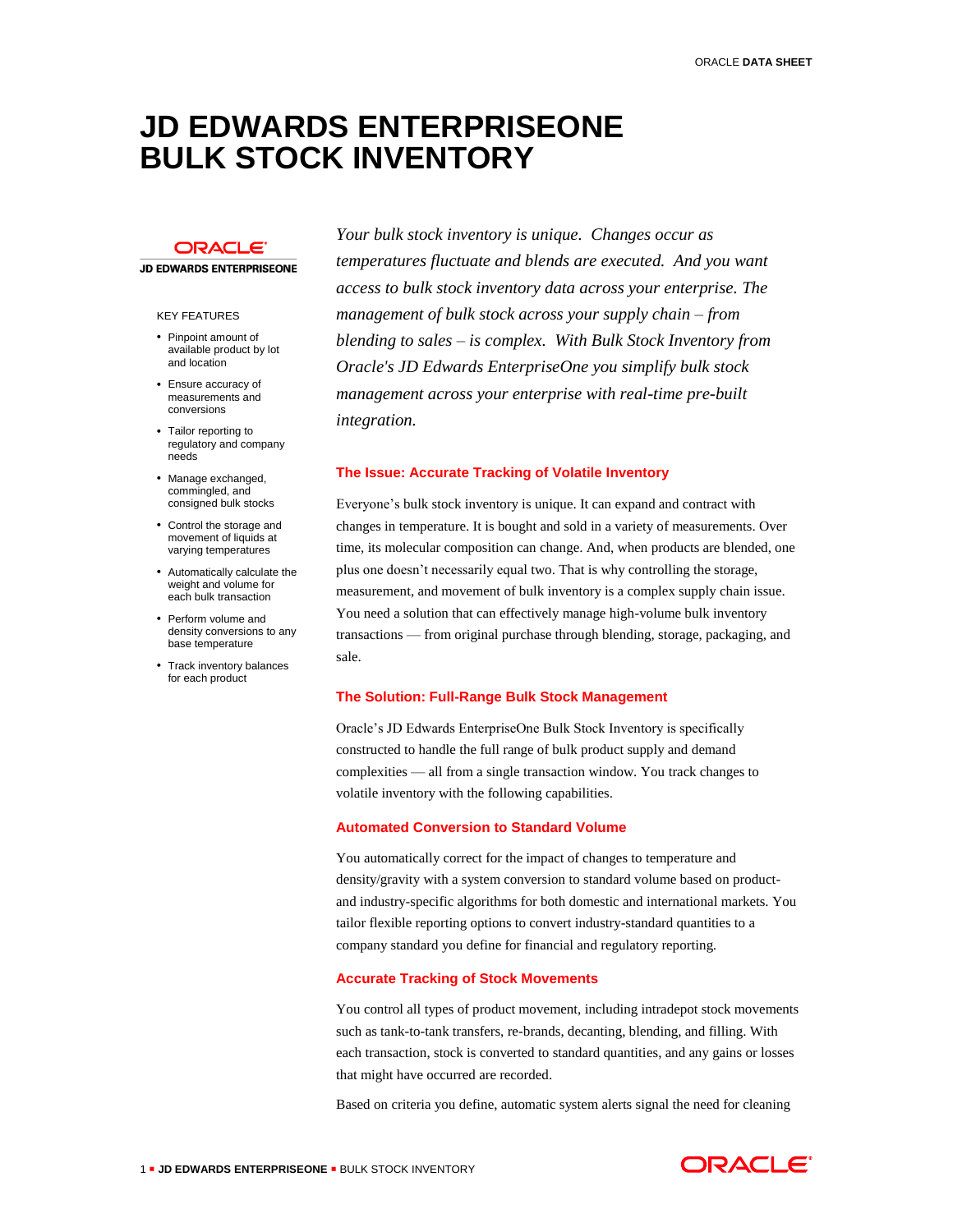# **JD EDWARDS ENTERPRISEONE BULK STOCK INVENTORY**

# **ORACLE**

### **JD EDWARDS ENTERPRISEONE**

#### KEY FEATURES

- Pinpoint amount of available product by lot and location
- Ensure accuracy of measurements and conversions
- Tailor reporting to regulatory and company needs
- Manage exchanged. commingled, and consigned bulk stocks
- Control the storage and movement of liquids at varying temperatures
- Automatically calculate the weight and volume for each bulk transaction
- Perform volume and density conversions to any base temperature
- Track inventory balances for each product

*Your bulk stock inventory is unique. Changes occur as temperatures fluctuate and blends are executed. And you want access to bulk stock inventory data across your enterprise. The management of bulk stock across your supply chain – from blending to sales – is complex. With Bulk Stock Inventory from Oracle's JD Edwards EnterpriseOne you simplify bulk stock management across your enterprise with real-time pre-built integration.*

## **The Issue: Accurate Tracking of Volatile Inventory**

Everyone's bulk stock inventory is unique. It can expand and contract with changes in temperature. It is bought and sold in a variety of measurements. Over time, its molecular composition can change. And, when products are blended, one plus one doesn't necessarily equal two. That is why controlling the storage, measurement, and movement of bulk inventory is a complex supply chain issue. You need a solution that can effectively manage high-volume bulk inventory transactions — from original purchase through blending, storage, packaging, and sale.

#### **The Solution: Full-Range Bulk Stock Management**

Oracle's JD Edwards EnterpriseOne Bulk Stock Inventory is specifically constructed to handle the full range of bulk product supply and demand complexities — all from a single transaction window. You track changes to volatile inventory with the following capabilities.

### **Automated Conversion to Standard Volume**

You automatically correct for the impact of changes to temperature and density/gravity with a system conversion to standard volume based on productand industry-specific algorithms for both domestic and international markets. You tailor flexible reporting options to convert industry-standard quantities to a company standard you define for financial and regulatory reporting.

## **Accurate Tracking of Stock Movements**

You control all types of product movement, including intradepot stock movements such as tank-to-tank transfers, re-brands, decanting, blending, and filling. With each transaction, stock is converted to standard quantities, and any gains or losses that might have occurred are recorded.

Based on criteria you define, automatic system alerts signal the need for cleaning

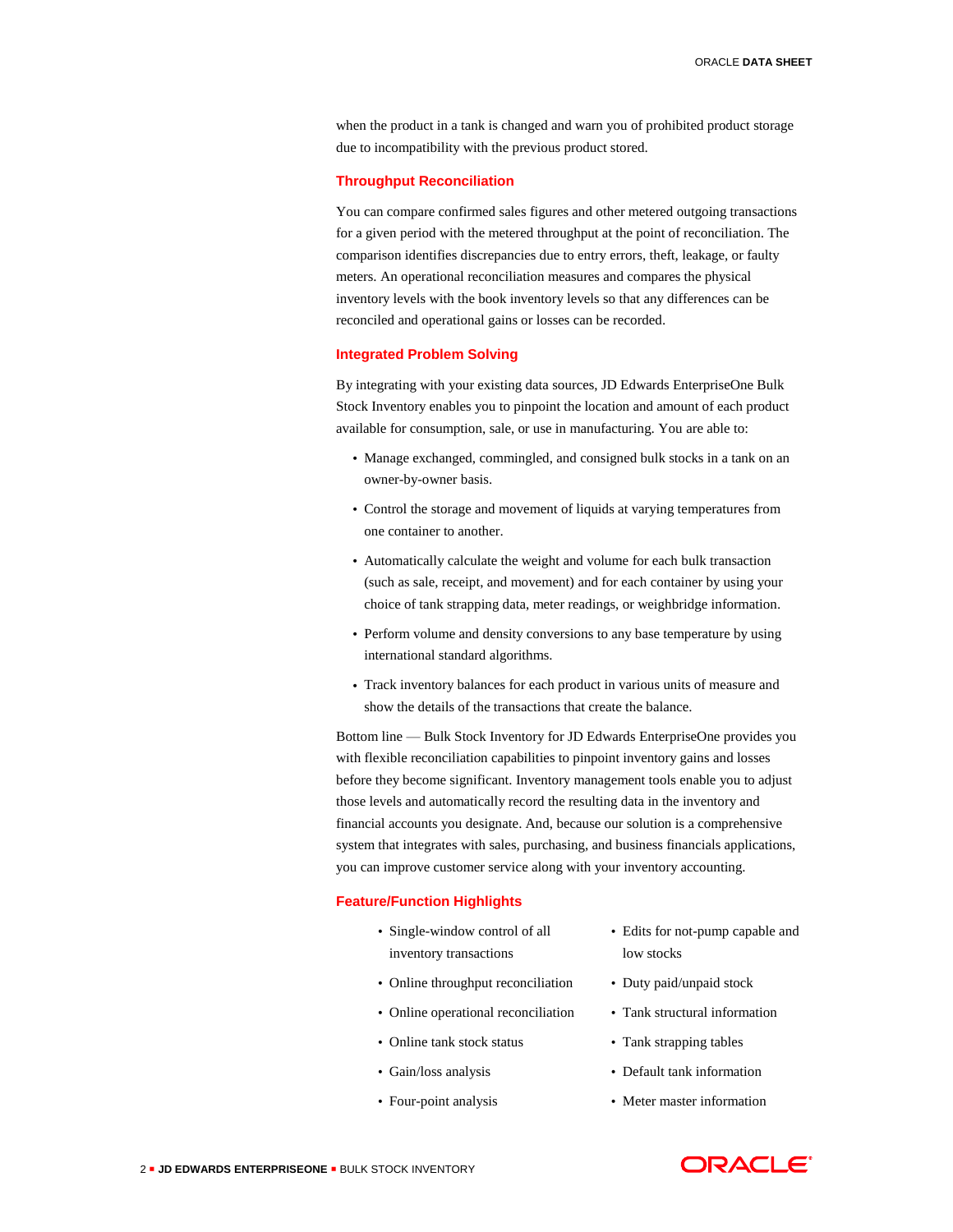when the product in a tank is changed and warn you of prohibited product storage due to incompatibility with the previous product stored.

## **Throughput Reconciliation**

You can compare confirmed sales figures and other metered outgoing transactions for a given period with the metered throughput at the point of reconciliation. The comparison identifies discrepancies due to entry errors, theft, leakage, or faulty meters. An operational reconciliation measures and compares the physical inventory levels with the book inventory levels so that any differences can be reconciled and operational gains or losses can be recorded.

## **Integrated Problem Solving**

By integrating with your existing data sources, JD Edwards EnterpriseOne Bulk Stock Inventory enables you to pinpoint the location and amount of each product available for consumption, sale, or use in manufacturing. You are able to:

- Manage exchanged, commingled, and consigned bulk stocks in a tank on an owner-by-owner basis.
- Control the storage and movement of liquids at varying temperatures from one container to another.
- Automatically calculate the weight and volume for each bulk transaction (such as sale, receipt, and movement) and for each container by using your choice of tank strapping data, meter readings, or weighbridge information.
- Perform volume and density conversions to any base temperature by using international standard algorithms.
- Track inventory balances for each product in various units of measure and show the details of the transactions that create the balance.

Bottom line — Bulk Stock Inventory for JD Edwards EnterpriseOne provides you with flexible reconciliation capabilities to pinpoint inventory gains and losses before they become significant. Inventory management tools enable you to adjust those levels and automatically record the resulting data in the inventory and financial accounts you designate. And, because our solution is a comprehensive system that integrates with sales, purchasing, and business financials applications, you can improve customer service along with your inventory accounting.

#### **Feature/Function Highlights**

- Single-window control of all inventory transactions
- Online throughput reconciliation
- Online operational reconciliation
- Online tank stock status
- Gain/loss analysis
- Four-point analysis
- Edits for not-pump capable and low stocks
- Duty paid/unpaid stock
- Tank structural information
- Tank strapping tables
- Default tank information
- Meter master information